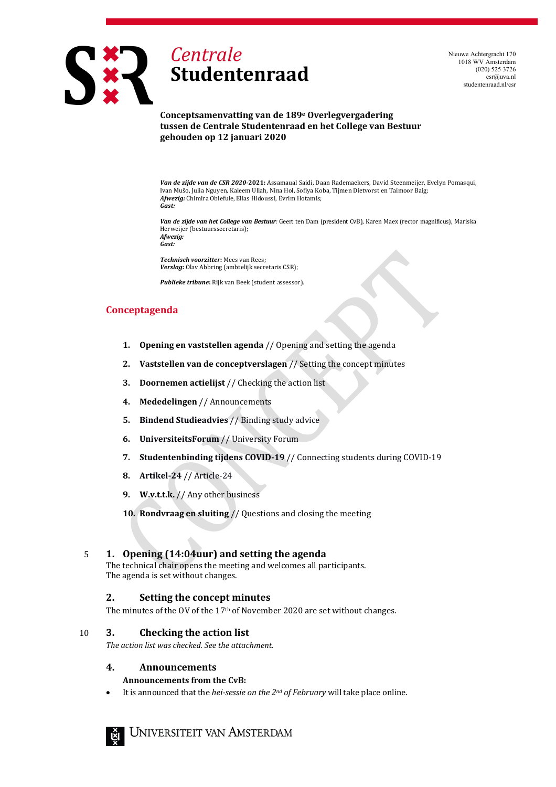

Nieuwe Achtergracht 170 1018 WV Amsterdam (020) 525 3726 csr@uva.nl studentenraad.nl/csr

#### **Conceptsamenvatting van de 189e Overlegvergadering tussen de Centrale Studentenraad en het College van Bestuur gehouden op 12 januari 2020**

*Van de zijde van de CSR 2020-***2021:** Assamaual Saidi, Daan Rademaekers, David Steenmeijer, Evelyn Pomasqui, Ivan Mušo, Julia Nguyen, Kaleem Ullah, Nina Hol, Sofiya Koba, Tijmen Dietvorst en Taimoor Baig; *Afwezig:* Chimira Obiefule, Elias Hidoussi, Evrim Hotamis; *Gast:*

*Van de zijde van het College van Bestuur:* Geert ten Dam (president CvB), Karen Maex (rector magnificus), Mariska Herweijer (bestuurssecretaris); *Afwezig:*

*Gast:*

*Technisch voorzitter***:** Mees van Rees; *Verslag***:** Olav Abbring (ambtelijk secretaris CSR);

*Publieke tribune***:** Rijk van Beek (student assessor).

# **Conceptagenda**

- **1. Opening en vaststellen agenda** // Opening and setting the agenda
- **2. Vaststellen van de conceptverslagen** // Setting the concept minutes
- **3. Doornemen actielijst** // Checking the action list
- **4. Mededelingen** // Announcements
- **5. Bindend Studieadvies** // Binding study advice
- **6. UniversiteitsForum** // University Forum
- **7. Studentenbinding tijdens COVID-19** // Connecting students during COVID-19
- **8. Artikel-24** // Article-24
- **9. W.v.t.t.k.** // Any other business
- **10. Rondvraag en sluiting** // Questions and closing the meeting

## 5 **1. Opening (14:04uur) and setting the agenda**

The technical chair opens the meeting and welcomes all participants. The agenda is set without changes.

## **2. Setting the concept minutes**

The minutes of the OV of the 17<sup>th</sup> of November 2020 are set without changes.

### 10 **3. Checking the action list**

*The action list was checked. See the attachment.*

#### **4. Announcements**

### **Announcements from the CvB:**

• It is announced that the *hei-sessie on the 2nd of February* will take place online.

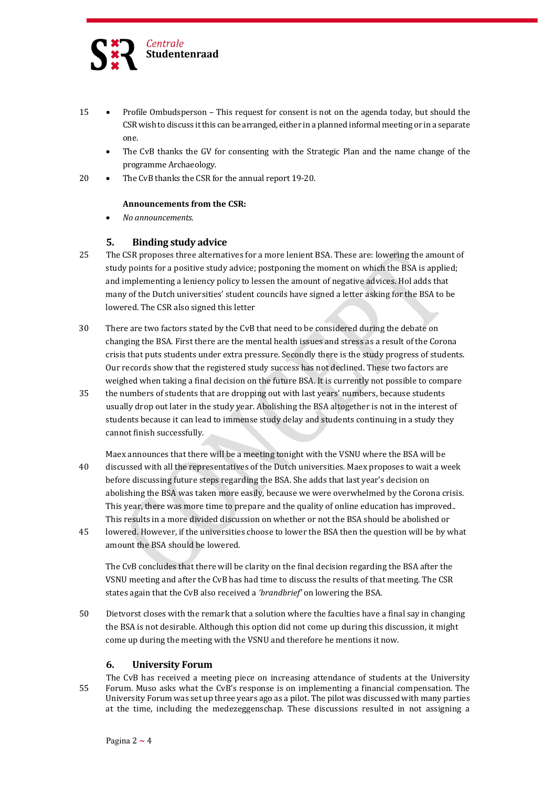

- 15 Profile Ombudsperson This request for consent is not on the agenda today, but should the CSR wish to discuss it this can be arranged, either in a planned informal meeting or in a separate one.
	- The CvB thanks the GV for consenting with the Strategic Plan and the name change of the programme Archaeology.
- 20 The CvB thanks the CSR for the annual report 19-20.

### **Announcements from the CSR:**

• *No announcements.*

## **5. Binding study advice**

- 25 The CSR proposes three alternatives for a more lenient BSA. These are: lowering the amount of study points for a positive study advice; postponing the moment on which the BSA is applied; and implementing a leniency policy to lessen the amount of negative advices. Hol adds that many of the Dutch universities' student councils have signed a letter asking for the BSA to be lowered. The CSR also signed this letter
- 30 There are two factors stated by the CvB that need to be considered during the debate on changing the BSA. First there are the mental health issues and stress as a result of the Corona crisis that puts students under extra pressure. Secondly there is the study progress of students. Our records show that the registered study success has not declined. These two factors are weighed when taking a final decision on the future BSA. It is currently not possible to compare
- 35 the numbers of students that are dropping out with last years' numbers, because students usually drop out later in the study year. Abolishing the BSA altogether is not in the interest of students because it can lead to immense study delay and students continuing in a study they cannot finish successfully.

Maex announces that there will be a meeting tonight with the VSNU where the BSA will be

- 40 discussed with all the representatives of the Dutch universities. Maex proposes to wait a week before discussing future steps regarding the BSA. She adds that last year's decision on abolishing the BSA was taken more easily, because we were overwhelmed by the Corona crisis. This year, there was more time to prepare and the quality of online education has improved.. This results in a more divided discussion on whether or not the BSA should be abolished or
- 45 lowered. However, if the universities choose to lower the BSA then the question will be by what amount the BSA should be lowered.

The CvB concludes that there will be clarity on the final decision regarding the BSA after the VSNU meeting and after the CvB has had time to discuss the results of that meeting. The CSR states again that the CvB also received a *'brandbrief'* on lowering the BSA.

50 Dietvorst closes with the remark that a solution where the faculties have a final say in changing the BSA is not desirable. Although this option did not come up during this discussion, it might come up during the meeting with the VSNU and therefore he mentions it now.

## **6. University Forum**

The CvB has received a meeting piece on increasing attendance of students at the University 55 Forum. Muso asks what the CvB's response is on implementing a financial compensation. The University Forum was set up three years ago as a pilot. The pilot was discussed with many parties at the time, including the medezeggenschap. These discussions resulted in not assigning a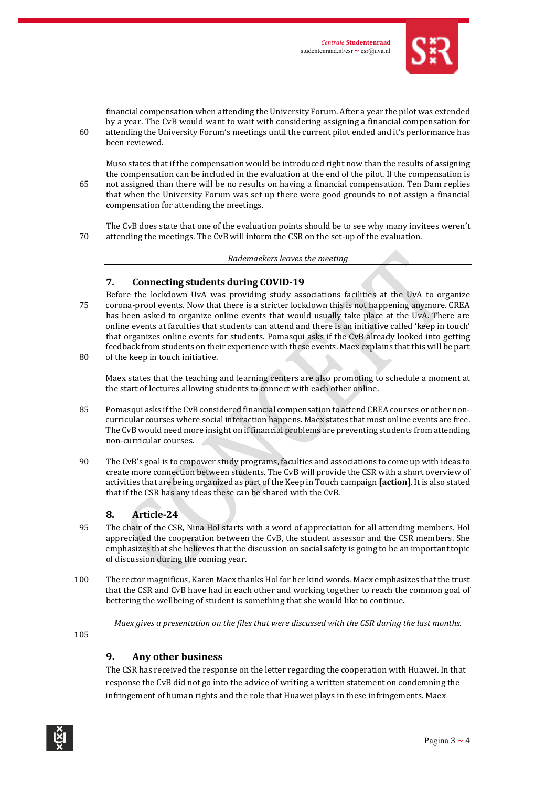

financial compensation when attending the University Forum. After a year the pilot was extended by a year. The CvB would want to wait with considering assigning a financial compensation for 60 attending the University Forum's meetings until the current pilot ended and it's performance has been reviewed.

Muso states that if the compensation would be introduced right now than the results of assigning the compensation can be included in the evaluation at the end of the pilot. If the compensation is 65 not assigned than there will be no results on having a financial compensation. Ten Dam replies that when the University Forum was set up there were good grounds to not assign a financial compensation for attending the meetings.

The CvB does state that one of the evaluation points should be to see why many invitees weren't 70 attending the meetings. The CvB will inform the CSR on the set-up of the evaluation.

*Rademaekers leaves the meeting*

# **7. Connecting students during COVID-19**

Before the lockdown UvA was providing study associations facilities at the UvA to organize 75 corona-proof events. Now that there is a stricter lockdown this is not happening anymore. CREA has been asked to organize online events that would usually take place at the UvA. There are online events at faculties that students can attend and there is an initiative called 'keep in touch' that organizes online events for students. Pomasqui asks if the CvB already looked into getting feedback from students on their experience with these events. Maex explains that this will be part

80 of the keep in touch initiative.

Maex states that the teaching and learning centers are also promoting to schedule a moment at the start of lectures allowing students to connect with each other online.

- 85 Pomasqui asks ifthe CvB considered financial compensation to attend CREA courses or other noncurricular courses where social interaction happens. Maex states that most online events are free. The CvB would need more insight on if financial problems are preventing students from attending non-curricular courses.
- 90 The CvB's goal is to empower study programs, faculties and associations to come up with ideas to create more connection between students. The CvB will provide the CSR with a short overview of activities that are being organized as part of the Keep in Touch campaign **[action]**. It is also stated that if the CSR has any ideas these can be shared with the CvB.

# **8. Article-24**

- 95 The chair of the CSR, Nina Hol starts with a word of appreciation for all attending members. Hol appreciated the cooperation between the CvB, the student assessor and the CSR members. She emphasizes that she believes that the discussion on social safety is going to be an important topic of discussion during the coming year.
- 100 The rector magnificus, Karen Maex thanks Hol for her kind words. Maex emphasizes that the trust that the CSR and CvB have had in each other and working together to reach the common goal of bettering the wellbeing of student is something that she would like to continue.

*Maex gives a presentation on the files that were discussed with the CSR during the last months.*

105

# **9. Any other business**

The CSR has received the response on the letter regarding the cooperation with Huawei. In that response the CvB did not go into the advice of writing a written statement on condemning the infringement of human rights and the role that Huawei plays in these infringements. Maex